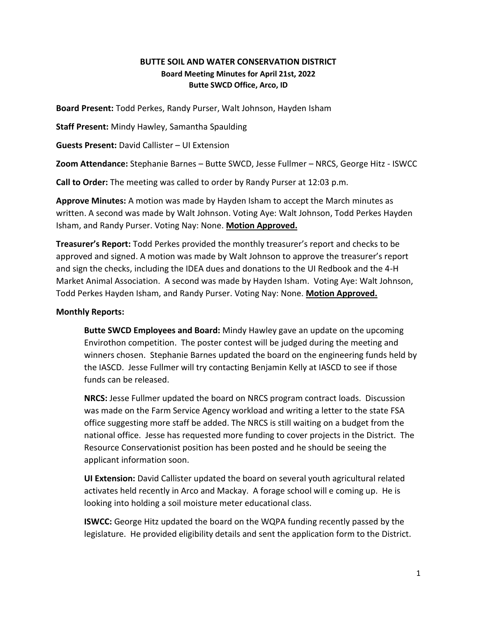## **BUTTE SOIL AND WATER CONSERVATION DISTRICT Board Meeting Minutes for April 21st, 2022 Butte SWCD Office, Arco, ID**

**Board Present:** Todd Perkes, Randy Purser, Walt Johnson, Hayden Isham

**Staff Present:** Mindy Hawley, Samantha Spaulding

**Guests Present:** David Callister – UI Extension

**Zoom Attendance:** Stephanie Barnes – Butte SWCD, Jesse Fullmer – NRCS, George Hitz - ISWCC

**Call to Order:** The meeting was called to order by Randy Purser at 12:03 p.m.

**Approve Minutes:** A motion was made by Hayden Isham to accept the March minutes as written. A second was made by Walt Johnson. Voting Aye: Walt Johnson, Todd Perkes Hayden Isham, and Randy Purser. Voting Nay: None. **Motion Approved.**

**Treasurer's Report:** Todd Perkes provided the monthly treasurer's report and checks to be approved and signed. A motion was made by Walt Johnson to approve the treasurer's report and sign the checks, including the IDEA dues and donations to the UI Redbook and the 4-H Market Animal Association. A second was made by Hayden Isham. Voting Aye: Walt Johnson, Todd Perkes Hayden Isham, and Randy Purser. Voting Nay: None. **Motion Approved.**

## **Monthly Reports:**

**Butte SWCD Employees and Board:** Mindy Hawley gave an update on the upcoming Envirothon competition. The poster contest will be judged during the meeting and winners chosen. Stephanie Barnes updated the board on the engineering funds held by the IASCD. Jesse Fullmer will try contacting Benjamin Kelly at IASCD to see if those funds can be released.

**NRCS:** Jesse Fullmer updated the board on NRCS program contract loads. Discussion was made on the Farm Service Agency workload and writing a letter to the state FSA office suggesting more staff be added. The NRCS is still waiting on a budget from the national office. Jesse has requested more funding to cover projects in the District. The Resource Conservationist position has been posted and he should be seeing the applicant information soon.

**UI Extension:** David Callister updated the board on several youth agricultural related activates held recently in Arco and Mackay. A forage school will e coming up. He is looking into holding a soil moisture meter educational class.

**ISWCC:** George Hitz updated the board on the WQPA funding recently passed by the legislature. He provided eligibility details and sent the application form to the District.